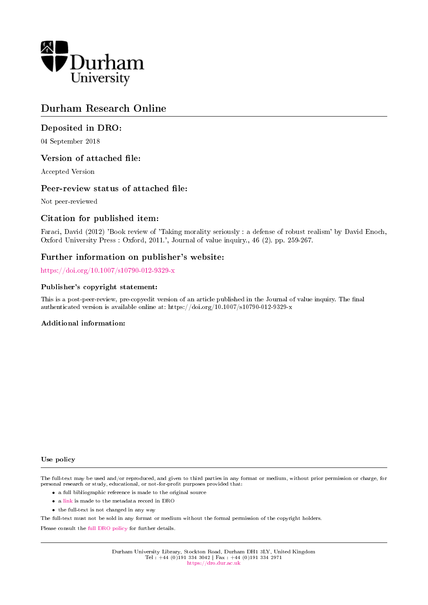

# Durham Research Online

## Deposited in DRO:

04 September 2018

## Version of attached file:

Accepted Version

## Peer-review status of attached file:

Not peer-reviewed

## Citation for published item:

Faraci, David (2012) 'Book review of 'Taking morality seriously : a defense of robust realism' by David Enoch, Oxford University Press : Oxford, 2011.', Journal of value inquiry., 46 (2). pp. 259-267.

#### Further information on publisher's website:

<https://doi.org/10.1007/s10790-012-9329-x>

#### Publisher's copyright statement:

This is a post-peer-review, pre-copyedit version of an article published in the Journal of value inquiry. The final authenticated version is available online at: https://doi.org/10.1007/s10790-012-9329-x

#### Additional information:

Use policy

The full-text may be used and/or reproduced, and given to third parties in any format or medium, without prior permission or charge, for personal research or study, educational, or not-for-profit purposes provided that:

- a full bibliographic reference is made to the original source
- a [link](http://dro.dur.ac.uk/26077/) is made to the metadata record in DRO
- the full-text is not changed in any way

The full-text must not be sold in any format or medium without the formal permission of the copyright holders.

Please consult the [full DRO policy](https://dro.dur.ac.uk/policies/usepolicy.pdf) for further details.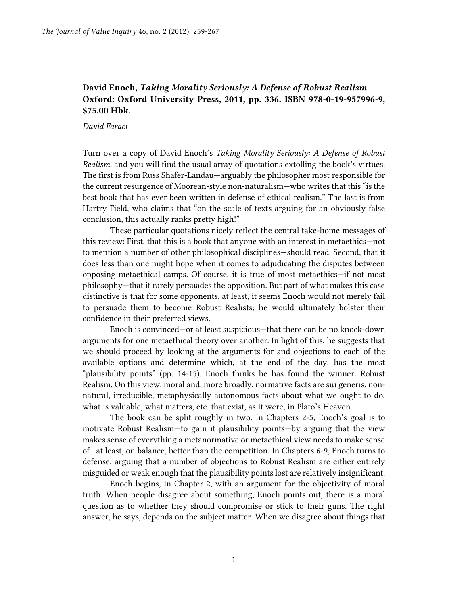# **David Enoch,** *Taking Morality Seriously: A Defense of Robust Realism* **Oxford: Oxford University Press, 2011, pp. 336. ISBN 978-0-19-957996-9, \$75.00 Hbk.**

#### *David Faraci*

Turn over a copy of David Enoch's *Taking Morality Seriously: A Defense of Robust Realism,* and you will find the usual array of quotations extolling the book's virtues. The first is from Russ Shafer-Landau—arguably the philosopher most responsible for the current resurgence of Moorean-style non-naturalism—who writes that this "is the best book that has ever been written in defense of ethical realism." The last is from Hartry Field, who claims that "on the scale of texts arguing for an obviously false conclusion, this actually ranks pretty high!"

These particular quotations nicely reflect the central take-home messages of this review: First, that this is a book that anyone with an interest in metaethics—not to mention a number of other philosophical disciplines—should read. Second, that it does less than one might hope when it comes to adjudicating the disputes between opposing metaethical camps. Of course, it is true of most metaethics—if not most philosophy—that it rarely persuades the opposition. But part of what makes this case distinctive is that for some opponents, at least, it seems Enoch would not merely fail to persuade them to become Robust Realists; he would ultimately bolster their confidence in their preferred views.

Enoch is convinced—or at least suspicious—that there can be no knock-down arguments for one metaethical theory over another. In light of this, he suggests that we should proceed by looking at the arguments for and objections to each of the available options and determine which, at the end of the day, has the most "plausibility points" (pp. 14-15). Enoch thinks he has found the winner: Robust Realism. On this view, moral and, more broadly, normative facts are sui generis, nonnatural, irreducible, metaphysically autonomous facts about what we ought to do, what is valuable, what matters, etc. that exist, as it were, in Plato's Heaven.

The book can be split roughly in two. In Chapters 2-5, Enoch's goal is to motivate Robust Realism—to gain it plausibility points—by arguing that the view makes sense of everything a metanormative or metaethical view needs to make sense of—at least, on balance, better than the competition. In Chapters 6-9, Enoch turns to defense, arguing that a number of objections to Robust Realism are either entirely misguided or weak enough that the plausibility points lost are relatively insignificant.

Enoch begins, in Chapter 2, with an argument for the objectivity of moral truth. When people disagree about something, Enoch points out, there is a moral question as to whether they should compromise or stick to their guns. The right answer, he says, depends on the subject matter. When we disagree about things that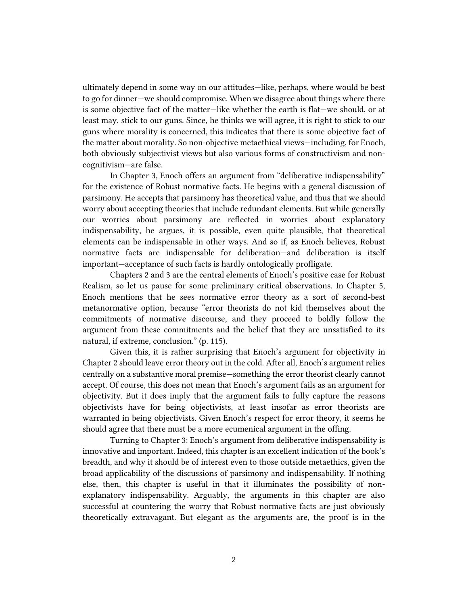ultimately depend in some way on our attitudes—like, perhaps, where would be best to go for dinner—we should compromise. When we disagree about things where there is some objective fact of the matter—like whether the earth is flat—we should, or at least may, stick to our guns. Since, he thinks we will agree, it is right to stick to our guns where morality is concerned, this indicates that there is some objective fact of the matter about morality. So non-objective metaethical views—including, for Enoch, both obviously subjectivist views but also various forms of constructivism and noncognitivism—are false.

In Chapter 3, Enoch offers an argument from "deliberative indispensability" for the existence of Robust normative facts. He begins with a general discussion of parsimony. He accepts that parsimony has theoretical value, and thus that we should worry about accepting theories that include redundant elements. But while generally our worries about parsimony are reflected in worries about explanatory indispensability, he argues, it is possible, even quite plausible, that theoretical elements can be indispensable in other ways. And so if, as Enoch believes, Robust normative facts are indispensable for deliberation—and deliberation is itself important—acceptance of such facts is hardly ontologically profligate.

Chapters 2 and 3 are the central elements of Enoch's positive case for Robust Realism, so let us pause for some preliminary critical observations. In Chapter 5, Enoch mentions that he sees normative error theory as a sort of second-best metanormative option, because "error theorists do not kid themselves about the commitments of normative discourse, and they proceed to boldly follow the argument from these commitments and the belief that they are unsatisfied to its natural, if extreme, conclusion." (p. 115).

Given this, it is rather surprising that Enoch's argument for objectivity in Chapter 2 should leave error theory out in the cold. After all, Enoch's argument relies centrally on a substantive moral premise—something the error theorist clearly cannot accept. Of course, this does not mean that Enoch's argument fails as an argument for objectivity. But it does imply that the argument fails to fully capture the reasons objectivists have for being objectivists, at least insofar as error theorists are warranted in being objectivists. Given Enoch's respect for error theory, it seems he should agree that there must be a more ecumenical argument in the offing.

Turning to Chapter 3: Enoch's argument from deliberative indispensability is innovative and important. Indeed, this chapter is an excellent indication of the book's breadth, and why it should be of interest even to those outside metaethics, given the broad applicability of the discussions of parsimony and indispensability. If nothing else, then, this chapter is useful in that it illuminates the possibility of nonexplanatory indispensability. Arguably, the arguments in this chapter are also successful at countering the worry that Robust normative facts are just obviously theoretically extravagant. But elegant as the arguments are, the proof is in the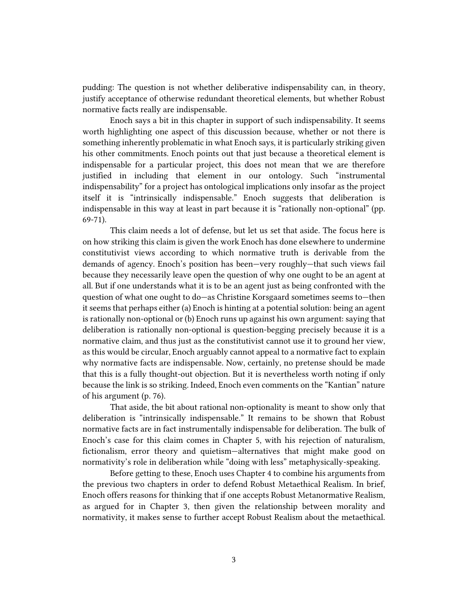pudding: The question is not whether deliberative indispensability can, in theory, justify acceptance of otherwise redundant theoretical elements, but whether Robust normative facts really are indispensable.

Enoch says a bit in this chapter in support of such indispensability. It seems worth highlighting one aspect of this discussion because, whether or not there is something inherently problematic in what Enoch says, it is particularly striking given his other commitments. Enoch points out that just because a theoretical element is indispensable for a particular project, this does not mean that we are therefore justified in including that element in our ontology. Such "instrumental indispensability" for a project has ontological implications only insofar as the project itself it is "intrinsically indispensable." Enoch suggests that deliberation is indispensable in this way at least in part because it is "rationally non-optional" (pp. 69-71).

This claim needs a lot of defense, but let us set that aside. The focus here is on how striking this claim is given the work Enoch has done elsewhere to undermine constitutivist views according to which normative truth is derivable from the demands of agency. Enoch's position has been—very roughly—that such views fail because they necessarily leave open the question of why one ought to be an agent at all. But if one understands what it is to be an agent just as being confronted with the question of what one ought to do—as Christine Korsgaard sometimes seems to—then it seems that perhaps either (a) Enoch is hinting at a potential solution: being an agent is rationally non-optional or (b) Enoch runs up against his own argument: saying that deliberation is rationally non-optional is question-begging precisely because it is a normative claim, and thus just as the constitutivist cannot use it to ground her view, as this would be circular, Enoch arguably cannot appeal to a normative fact to explain why normative facts are indispensable. Now, certainly, no pretense should be made that this is a fully thought-out objection. But it is nevertheless worth noting if only because the link is so striking. Indeed, Enoch even comments on the "Kantian" nature of his argument (p. 76).

That aside, the bit about rational non-optionality is meant to show only that deliberation is "intrinsically indispensable." It remains to be shown that Robust normative facts are in fact instrumentally indispensable for deliberation. The bulk of Enoch's case for this claim comes in Chapter 5, with his rejection of naturalism, fictionalism, error theory and quietism—alternatives that might make good on normativity's role in deliberation while "doing with less" metaphysically-speaking.

Before getting to these, Enoch uses Chapter 4 to combine his arguments from the previous two chapters in order to defend Robust Metaethical Realism. In brief, Enoch offers reasons for thinking that if one accepts Robust Metanormative Realism, as argued for in Chapter 3, then given the relationship between morality and normativity, it makes sense to further accept Robust Realism about the metaethical.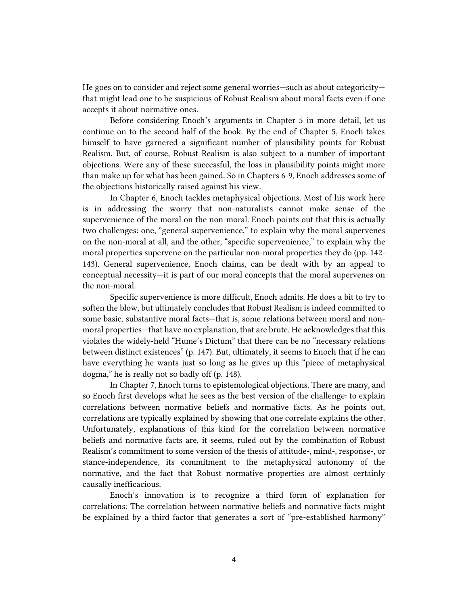He goes on to consider and reject some general worries—such as about categoricity that might lead one to be suspicious of Robust Realism about moral facts even if one accepts it about normative ones.

Before considering Enoch's arguments in Chapter 5 in more detail, let us continue on to the second half of the book. By the end of Chapter 5, Enoch takes himself to have garnered a significant number of plausibility points for Robust Realism. But, of course, Robust Realism is also subject to a number of important objections. Were any of these successful, the loss in plausibility points might more than make up for what has been gained. So in Chapters 6-9, Enoch addresses some of the objections historically raised against his view.

In Chapter 6, Enoch tackles metaphysical objections. Most of his work here is in addressing the worry that non-naturalists cannot make sense of the supervenience of the moral on the non-moral. Enoch points out that this is actually two challenges: one, "general supervenience," to explain why the moral supervenes on the non-moral at all, and the other, "specific supervenience," to explain why the moral properties supervene on the particular non-moral properties they do (pp. 142- 143). General supervenience, Enoch claims, can be dealt with by an appeal to conceptual necessity—it is part of our moral concepts that the moral supervenes on the non-moral.

Specific supervenience is more difficult, Enoch admits. He does a bit to try to soften the blow, but ultimately concludes that Robust Realism is indeed committed to some basic, substantive moral facts—that is, some relations between moral and nonmoral properties—that have no explanation, that are brute. He acknowledges that this violates the widely-held "Hume's Dictum" that there can be no "necessary relations between distinct existences" (p. 147). But, ultimately, it seems to Enoch that if he can have everything he wants just so long as he gives up this "piece of metaphysical dogma," he is really not so badly off (p. 148).

In Chapter 7, Enoch turns to epistemological objections. There are many, and so Enoch first develops what he sees as the best version of the challenge: to explain correlations between normative beliefs and normative facts. As he points out, correlations are typically explained by showing that one correlate explains the other. Unfortunately, explanations of this kind for the correlation between normative beliefs and normative facts are, it seems, ruled out by the combination of Robust Realism's commitment to some version of the thesis of attitude-, mind-, response-, or stance-independence, its commitment to the metaphysical autonomy of the normative, and the fact that Robust normative properties are almost certainly causally inefficacious.

Enoch's innovation is to recognize a third form of explanation for correlations: The correlation between normative beliefs and normative facts might be explained by a third factor that generates a sort of "pre-established harmony"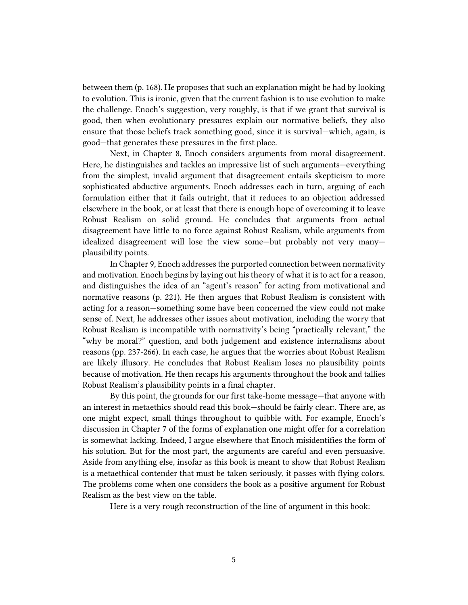between them (p. 168). He proposes that such an explanation might be had by looking to evolution. This is ironic, given that the current fashion is to use evolution to make the challenge. Enoch's suggestion, very roughly, is that if we grant that survival is good, then when evolutionary pressures explain our normative beliefs, they also ensure that those beliefs track something good, since it is survival—which, again, is good—that generates these pressures in the first place.

Next, in Chapter 8, Enoch considers arguments from moral disagreement. Here, he distinguishes and tackles an impressive list of such arguments—everything from the simplest, invalid argument that disagreement entails skepticism to more sophisticated abductive arguments. Enoch addresses each in turn, arguing of each formulation either that it fails outright, that it reduces to an objection addressed elsewhere in the book, or at least that there is enough hope of overcoming it to leave Robust Realism on solid ground. He concludes that arguments from actual disagreement have little to no force against Robust Realism, while arguments from idealized disagreement will lose the view some—but probably not very many plausibility points.

In Chapter 9, Enoch addresses the purported connection between normativity and motivation. Enoch begins by laying out his theory of what it is to act for a reason, and distinguishes the idea of an "agent's reason" for acting from motivational and normative reasons (p. 221). He then argues that Robust Realism is consistent with acting for a reason—something some have been concerned the view could not make sense of. Next, he addresses other issues about motivation, including the worry that Robust Realism is incompatible with normativity's being "practically relevant," the "why be moral?" question, and both judgement and existence internalisms about reasons (pp. 237-266). In each case, he argues that the worries about Robust Realism are likely illusory. He concludes that Robust Realism loses no plausibility points because of motivation. He then recaps his arguments throughout the book and tallies Robust Realism's plausibility points in a final chapter.

By this point, the grounds for our first take-home message—that anyone with an interest in metaethics should read this book—should be fairly clear:. There are, as one might expect, small things throughout to quibble with. For example, Enoch's discussion in Chapter 7 of the forms of explanation one might offer for a correlation is somewhat lacking. Indeed, I argue elsewhere that Enoch misidentifies the form of his solution. But for the most part, the arguments are careful and even persuasive. Aside from anything else, insofar as this book is meant to show that Robust Realism is a metaethical contender that must be taken seriously, it passes with flying colors. The problems come when one considers the book as a positive argument for Robust Realism as the best view on the table.

Here is a very rough reconstruction of the line of argument in this book: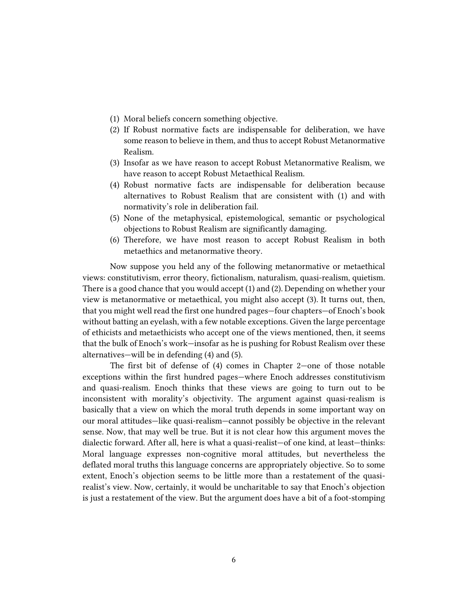- (1) Moral beliefs concern something objective.
- (2) If Robust normative facts are indispensable for deliberation, we have some reason to believe in them, and thus to accept Robust Metanormative Realism.
- (3) Insofar as we have reason to accept Robust Metanormative Realism, we have reason to accept Robust Metaethical Realism.
- (4) Robust normative facts are indispensable for deliberation because alternatives to Robust Realism that are consistent with (1) and with normativity's role in deliberation fail.
- (5) None of the metaphysical, epistemological, semantic or psychological objections to Robust Realism are significantly damaging.
- (6) Therefore, we have most reason to accept Robust Realism in both metaethics and metanormative theory.

Now suppose you held any of the following metanormative or metaethical views: constitutivism, error theory, fictionalism, naturalism, quasi-realism, quietism. There is a good chance that you would accept (1) and (2). Depending on whether your view is metanormative or metaethical, you might also accept (3). It turns out, then, that you might well read the first one hundred pages—four chapters—of Enoch's book without batting an eyelash, with a few notable exceptions. Given the large percentage of ethicists and metaethicists who accept one of the views mentioned, then, it seems that the bulk of Enoch's work—insofar as he is pushing for Robust Realism over these alternatives—will be in defending (4) and (5).

The first bit of defense of (4) comes in Chapter 2—one of those notable exceptions within the first hundred pages—where Enoch addresses constitutivism and quasi-realism. Enoch thinks that these views are going to turn out to be inconsistent with morality's objectivity. The argument against quasi-realism is basically that a view on which the moral truth depends in some important way on our moral attitudes—like quasi-realism—cannot possibly be objective in the relevant sense. Now, that may well be true. But it is not clear how this argument moves the dialectic forward. After all, here is what a quasi-realist—of one kind, at least—thinks: Moral language expresses non-cognitive moral attitudes, but nevertheless the deflated moral truths this language concerns are appropriately objective. So to some extent, Enoch's objection seems to be little more than a restatement of the quasirealist's view. Now, certainly, it would be uncharitable to say that Enoch's objection is just a restatement of the view. But the argument does have a bit of a foot-stomping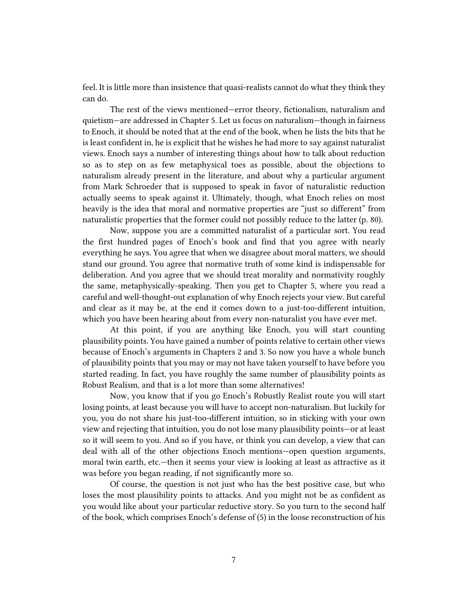feel. It is little more than insistence that quasi-realists cannot do what they think they can do.

The rest of the views mentioned—error theory, fictionalism, naturalism and quietism—are addressed in Chapter 5. Let us focus on naturalism—though in fairness to Enoch, it should be noted that at the end of the book, when he lists the bits that he is least confident in, he is explicit that he wishes he had more to say against naturalist views. Enoch says a number of interesting things about how to talk about reduction so as to step on as few metaphysical toes as possible, about the objections to naturalism already present in the literature, and about why a particular argument from Mark Schroeder that is supposed to speak in favor of naturalistic reduction actually seems to speak against it. Ultimately, though, what Enoch relies on most heavily is the idea that moral and normative properties are "just so different" from naturalistic properties that the former could not possibly reduce to the latter (p. 80).

Now, suppose you are a committed naturalist of a particular sort. You read the first hundred pages of Enoch's book and find that you agree with nearly everything he says. You agree that when we disagree about moral matters, we should stand our ground. You agree that normative truth of some kind is indispensable for deliberation. And you agree that we should treat morality and normativity roughly the same, metaphysically-speaking. Then you get to Chapter 5, where you read a careful and well-thought-out explanation of why Enoch rejects your view. But careful and clear as it may be, at the end it comes down to a just-too-different intuition, which you have been hearing about from every non-naturalist you have ever met.

At this point, if you are anything like Enoch, you will start counting plausibility points. You have gained a number of points relative to certain other views because of Enoch's arguments in Chapters 2 and 3. So now you have a whole bunch of plausibility points that you may or may not have taken yourself to have before you started reading. In fact, you have roughly the same number of plausibility points as Robust Realism, and that is a lot more than some alternatives!

Now, you know that if you go Enoch's Robustly Realist route you will start losing points, at least because you will have to accept non-naturalism. But luckily for you, you do not share his just-too-different intuition, so in sticking with your own view and rejecting that intuition, you do not lose many plausibility points—or at least so it will seem to you. And so if you have, or think you can develop, a view that can deal with all of the other objections Enoch mentions—open question arguments, moral twin earth, etc.—then it seems your view is looking at least as attractive as it was before you began reading, if not significantly more so.

Of course, the question is not just who has the best positive case, but who loses the most plausibility points to attacks. And you might not be as confident as you would like about your particular reductive story. So you turn to the second half of the book, which comprises Enoch's defense of (5) in the loose reconstruction of his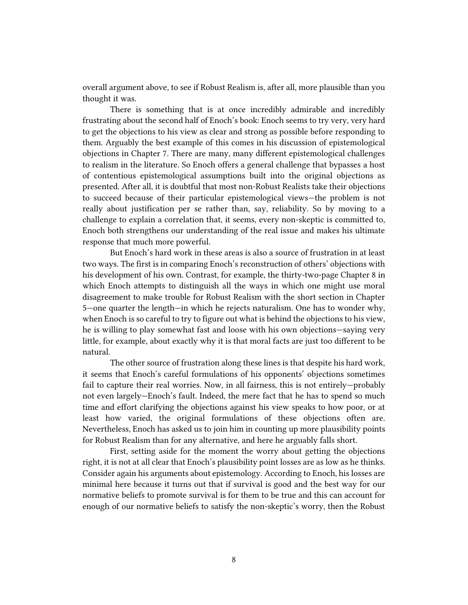overall argument above, to see if Robust Realism is, after all, more plausible than you thought it was.

There is something that is at once incredibly admirable and incredibly frustrating about the second half of Enoch's book: Enoch seems to try very, very hard to get the objections to his view as clear and strong as possible before responding to them. Arguably the best example of this comes in his discussion of epistemological objections in Chapter 7. There are many, many different epistemological challenges to realism in the literature. So Enoch offers a general challenge that bypasses a host of contentious epistemological assumptions built into the original objections as presented. After all, it is doubtful that most non-Robust Realists take their objections to succeed because of their particular epistemological views—the problem is not really about justification per se rather than, say, reliability. So by moving to a challenge to explain a correlation that, it seems, every non-skeptic is committed to, Enoch both strengthens our understanding of the real issue and makes his ultimate response that much more powerful.

But Enoch's hard work in these areas is also a source of frustration in at least two ways. The first is in comparing Enoch's reconstruction of others' objections with his development of his own. Contrast, for example, the thirty-two-page Chapter 8 in which Enoch attempts to distinguish all the ways in which one might use moral disagreement to make trouble for Robust Realism with the short section in Chapter 5—one quarter the length—in which he rejects naturalism. One has to wonder why, when Enoch is so careful to try to figure out what is behind the objections to his view, he is willing to play somewhat fast and loose with his own objections—saying very little, for example, about exactly why it is that moral facts are just too different to be natural.

The other source of frustration along these lines is that despite his hard work, it seems that Enoch's careful formulations of his opponents' objections sometimes fail to capture their real worries. Now, in all fairness, this is not entirely—probably not even largely—Enoch's fault. Indeed, the mere fact that he has to spend so much time and effort clarifying the objections against his view speaks to how poor, or at least how varied, the original formulations of these objections often are. Nevertheless, Enoch has asked us to join him in counting up more plausibility points for Robust Realism than for any alternative, and here he arguably falls short.

First, setting aside for the moment the worry about getting the objections right, it is not at all clear that Enoch's plausibility point losses are as low as he thinks. Consider again his arguments about epistemology. According to Enoch, his losses are minimal here because it turns out that if survival is good and the best way for our normative beliefs to promote survival is for them to be true and this can account for enough of our normative beliefs to satisfy the non-skeptic's worry, then the Robust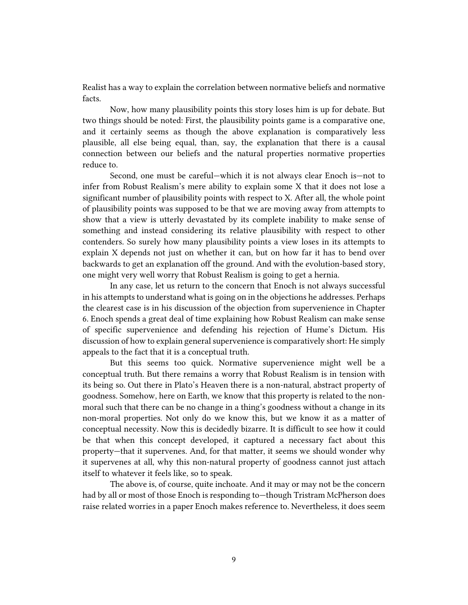Realist has a way to explain the correlation between normative beliefs and normative facts.

Now, how many plausibility points this story loses him is up for debate. But two things should be noted: First, the plausibility points game is a comparative one, and it certainly seems as though the above explanation is comparatively less plausible, all else being equal, than, say, the explanation that there is a causal connection between our beliefs and the natural properties normative properties reduce to.

Second, one must be careful—which it is not always clear Enoch is—not to infer from Robust Realism's mere ability to explain some X that it does not lose a significant number of plausibility points with respect to X. After all, the whole point of plausibility points was supposed to be that we are moving away from attempts to show that a view is utterly devastated by its complete inability to make sense of something and instead considering its relative plausibility with respect to other contenders. So surely how many plausibility points a view loses in its attempts to explain X depends not just on whether it can, but on how far it has to bend over backwards to get an explanation off the ground. And with the evolution-based story, one might very well worry that Robust Realism is going to get a hernia.

In any case, let us return to the concern that Enoch is not always successful in his attempts to understand what is going on in the objections he addresses. Perhaps the clearest case is in his discussion of the objection from supervenience in Chapter 6. Enoch spends a great deal of time explaining how Robust Realism can make sense of specific supervenience and defending his rejection of Hume's Dictum. His discussion of how to explain general supervenience is comparatively short: He simply appeals to the fact that it is a conceptual truth.

But this seems too quick. Normative supervenience might well be a conceptual truth. But there remains a worry that Robust Realism is in tension with its being so. Out there in Plato's Heaven there is a non-natural, abstract property of goodness. Somehow, here on Earth, we know that this property is related to the nonmoral such that there can be no change in a thing's goodness without a change in its non-moral properties. Not only do we know this, but we know it as a matter of conceptual necessity. Now this is decidedly bizarre. It is difficult to see how it could be that when this concept developed, it captured a necessary fact about this property—that it supervenes. And, for that matter, it seems we should wonder why it supervenes at all, why this non-natural property of goodness cannot just attach itself to whatever it feels like, so to speak.

The above is, of course, quite inchoate. And it may or may not be the concern had by all or most of those Enoch is responding to—though Tristram McPherson does raise related worries in a paper Enoch makes reference to. Nevertheless, it does seem